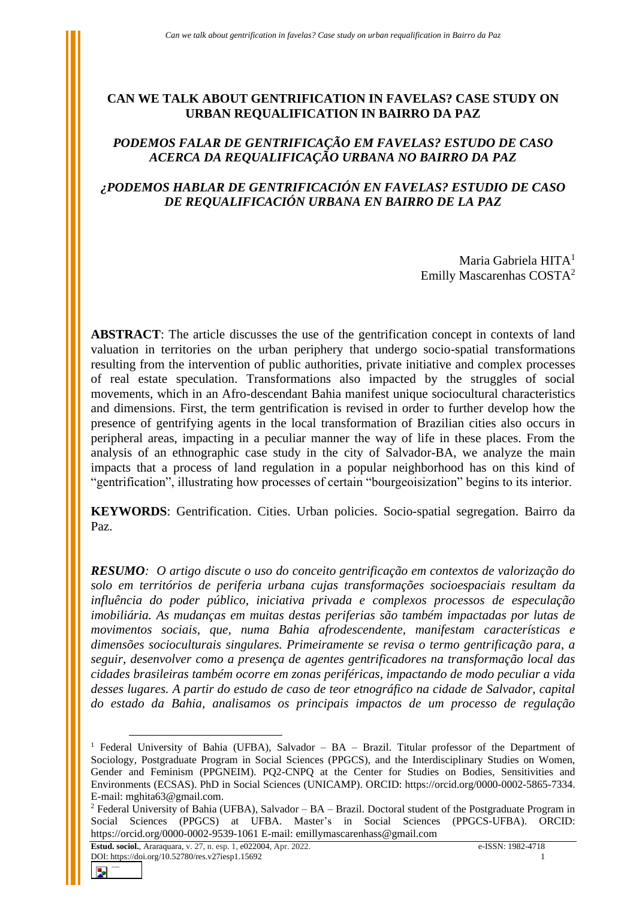### **CAN WE TALK ABOUT GENTRIFICATION IN FAVELAS? CASE STUDY ON URBAN REQUALIFICATION IN BAIRRO DA PAZ**

# *PODEMOS FALAR DE GENTRIFICAÇÃO EM FAVELAS? ESTUDO DE CASO ACERCA DA REQUALIFICAÇÃO URBANA NO BAIRRO DA PAZ*

# *¿PODEMOS HABLAR DE GENTRIFICACIÓN EN FAVELAS? ESTUDIO DE CASO DE REQUALIFICACIÓN URBANA EN BAIRRO DE LA PAZ*

Maria Gabriela HITA<sup>1</sup> Emilly Mascarenhas COSTA<sup>2</sup>

**ABSTRACT**: The article discusses the use of the gentrification concept in contexts of land valuation in territories on the urban periphery that undergo socio-spatial transformations resulting from the intervention of public authorities, private initiative and complex processes of real estate speculation. Transformations also impacted by the struggles of social movements, which in an Afro-descendant Bahia manifest unique sociocultural characteristics and dimensions. First, the term gentrification is revised in order to further develop how the presence of gentrifying agents in the local transformation of Brazilian cities also occurs in peripheral areas, impacting in a peculiar manner the way of life in these places. From the analysis of an ethnographic case study in the city of Salvador-BA, we analyze the main impacts that a process of land regulation in a popular neighborhood has on this kind of "gentrification", illustrating how processes of certain "bourgeoisization" begins to its interior.

**KEYWORDS**: Gentrification. Cities. Urban policies. Socio-spatial segregation. Bairro da Paz.

*RESUMO: O artigo discute o uso do conceito gentrificação em contextos de valorização do solo em territórios de periferia urbana cujas transformações socioespaciais resultam da influência do poder público, iniciativa privada e complexos processos de especulação imobiliária. As mudanças em muitas destas periferias são também impactadas por lutas de movimentos sociais, que, numa Bahia afrodescendente, manifestam características e dimensões socioculturais singulares. Primeiramente se revisa o termo gentrificação para, a seguir, desenvolver como a presença de agentes gentrificadores na transformação local das cidades brasileiras também ocorre em zonas periféricas, impactando de modo peculiar a vida desses lugares. A partir do estudo de caso de teor etnográfico na cidade de Salvador, capital do estado da Bahia, analisamos os principais impactos de um processo de regulação* 

Ы

<sup>1</sup> Federal University of Bahia (UFBA), Salvador – BA – Brazil. Titular professor of the Department of Sociology, Postgraduate Program in Social Sciences (PPGCS), and the Interdisciplinary Studies on Women, Gender and Feminism (PPGNEIM). PQ2-CNPQ at the Center for Studies on Bodies, Sensitivities and Environments (ECSAS). PhD in Social Sciences (UNICAMP). ORCID: [https://orcid.org/0000-0002-5865-7334.](https://orcid.org/0000-0002-5865-7334) E-mail[: mghita63@gmail.com.](mailto:mghita63@gmail.com/)

<sup>2</sup> Federal University of Bahia (UFBA), Salvador – BA – Brazil. Doctoral student of the Postgraduate Program in Social Sciences (PPGCS) at UFBA. Master's in Social Sciences (PPGCS-UFBA). ORCID: <https://orcid.org/0000-0002-9539-1061> E-mail: [emillymascarenhass@gmail.com](mailto:emillymascarenhass@gmail.com)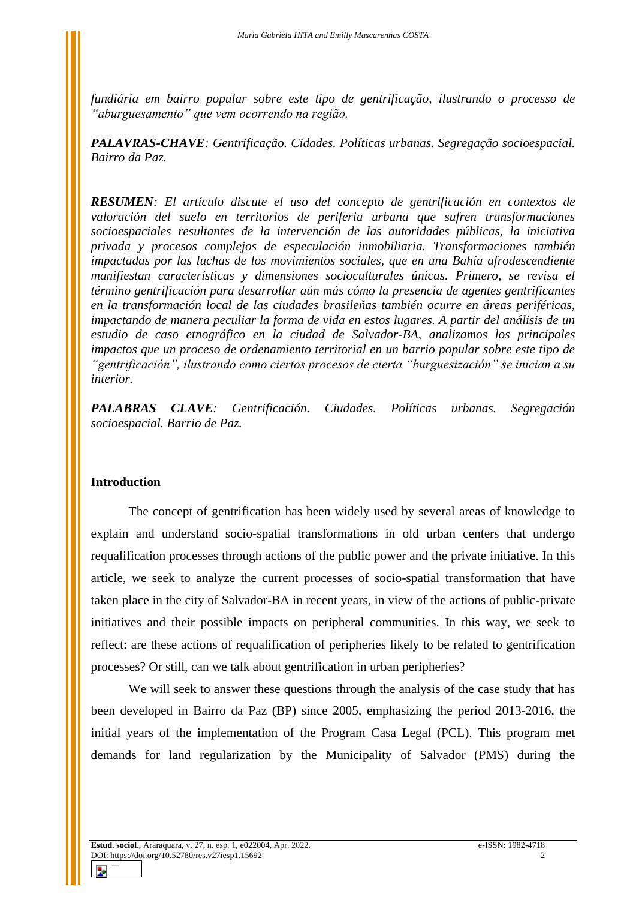*fundiária em bairro popular sobre este tipo de gentrificação, ilustrando o processo de "aburguesamento" que vem ocorrendo na região.* 

*PALAVRAS-CHAVE: Gentrificação. Cidades. Políticas urbanas. Segregação socioespacial. Bairro da Paz.*

*RESUMEN: El artículo discute el uso del concepto de gentrificación en contextos de valoración del suelo en territorios de periferia urbana que sufren transformaciones socioespaciales resultantes de la intervención de las autoridades públicas, la iniciativa privada y procesos complejos de especulación inmobiliaria. Transformaciones también impactadas por las luchas de los movimientos sociales, que en una Bahía afrodescendiente manifiestan características y dimensiones socioculturales únicas. Primero, se revisa el término gentrificación para desarrollar aún más cómo la presencia de agentes gentrificantes en la transformación local de las ciudades brasileñas también ocurre en áreas periféricas, impactando de manera peculiar la forma de vida en estos lugares. A partir del análisis de un estudio de caso etnográfico en la ciudad de Salvador-BA, analizamos los principales impactos que un proceso de ordenamiento territorial en un barrio popular sobre este tipo de "gentrificación", ilustrando como ciertos procesos de cierta "burguesización" se inician a su interior.*

*PALABRAS CLAVE: Gentrificación. Ciudades. Políticas urbanas. Segregación socioespacial. Barrio de Paz.*

#### **Introduction**

The concept of gentrification has been widely used by several areas of knowledge to explain and understand socio-spatial transformations in old urban centers that undergo requalification processes through actions of the public power and the private initiative. In this article, we seek to analyze the current processes of socio-spatial transformation that have taken place in the city of Salvador-BA in recent years, in view of the actions of public-private initiatives and their possible impacts on peripheral communities. In this way, we seek to reflect: are these actions of requalification of peripheries likely to be related to gentrification processes? Or still, can we talk about gentrification in urban peripheries?

We will seek to answer these questions through the analysis of the case study that has been developed in Bairro da Paz (BP) since 2005, emphasizing the period 2013-2016, the initial years of the implementation of the Program Casa Legal (PCL). This program met demands for land regularization by the Municipality of Salvador (PMS) during the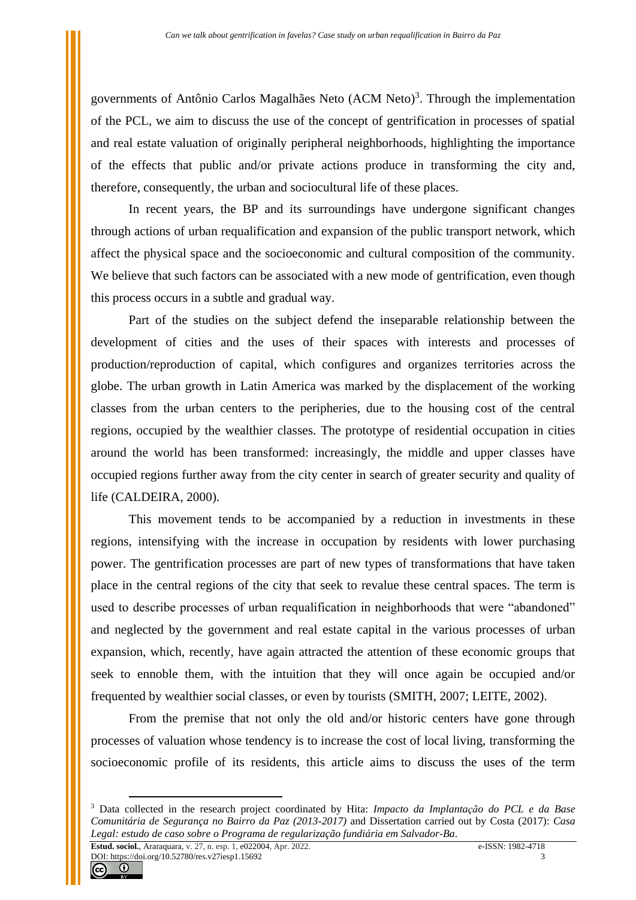governments of Antônio Carlos Magalhães Neto (ACM Neto)<sup>3</sup>. Through the implementation of the PCL, we aim to discuss the use of the concept of gentrification in processes of spatial and real estate valuation of originally peripheral neighborhoods, highlighting the importance of the effects that public and/or private actions produce in transforming the city and, therefore, consequently, the urban and sociocultural life of these places.

In recent years, the BP and its surroundings have undergone significant changes through actions of urban requalification and expansion of the public transport network, which affect the physical space and the socioeconomic and cultural composition of the community. We believe that such factors can be associated with a new mode of gentrification, even though this process occurs in a subtle and gradual way.

Part of the studies on the subject defend the inseparable relationship between the development of cities and the uses of their spaces with interests and processes of production/reproduction of capital, which configures and organizes territories across the globe. The urban growth in Latin America was marked by the displacement of the working classes from the urban centers to the peripheries, due to the housing cost of the central regions, occupied by the wealthier classes. The prototype of residential occupation in cities around the world has been transformed: increasingly, the middle and upper classes have occupied regions further away from the city center in search of greater security and quality of life (CALDEIRA, 2000).

This movement tends to be accompanied by a reduction in investments in these regions, intensifying with the increase in occupation by residents with lower purchasing power. The gentrification processes are part of new types of transformations that have taken place in the central regions of the city that seek to revalue these central spaces. The term is used to describe processes of urban requalification in neighborhoods that were "abandoned" and neglected by the government and real estate capital in the various processes of urban expansion, which, recently, have again attracted the attention of these economic groups that seek to ennoble them, with the intuition that they will once again be occupied and/or frequented by wealthier social classes, or even by tourists (SMITH, 2007; LEITE, 2002).

From the premise that not only the old and/or historic centers have gone through processes of valuation whose tendency is to increase the cost of local living, transforming the socioeconomic profile of its residents, this article aims to discuss the uses of the term



<sup>3</sup> Data collected in the research project coordinated by Hita: *Impacto da Implantação do PCL e da Base Comunitária de Segurança no Bairro da Paz (2013-2017)* and Dissertation carried out by Costa (2017): *Casa Legal: estudo de caso sobre o Programa de regularização fundiária em Salvador-Ba*.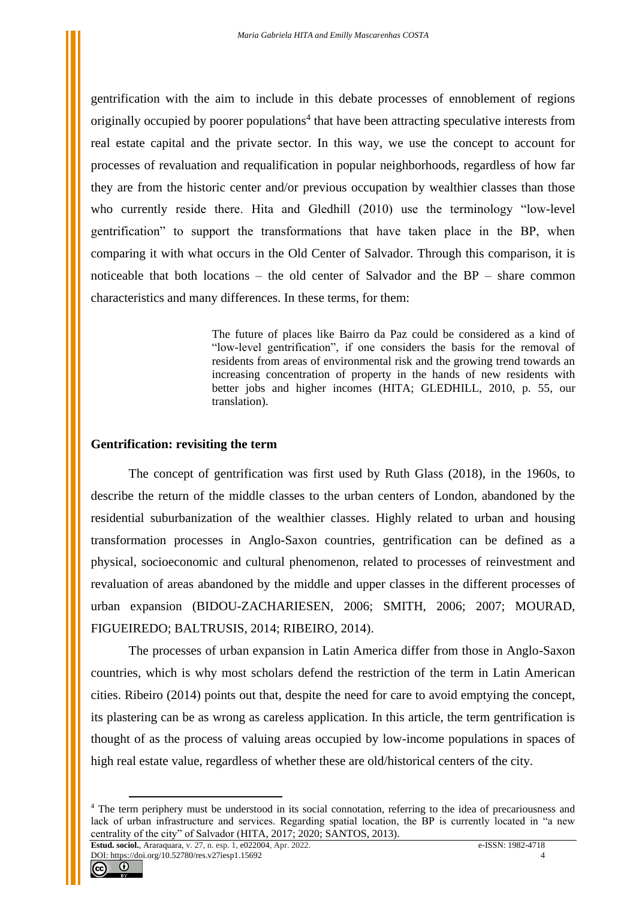gentrification with the aim to include in this debate processes of ennoblement of regions originally occupied by poorer populations<sup>4</sup> that have been attracting speculative interests from real estate capital and the private sector. In this way, we use the concept to account for processes of revaluation and requalification in popular neighborhoods, regardless of how far they are from the historic center and/or previous occupation by wealthier classes than those who currently reside there. Hita and Gledhill (2010) use the terminology "low-level gentrification" to support the transformations that have taken place in the BP, when comparing it with what occurs in the Old Center of Salvador. Through this comparison, it is noticeable that both locations – the old center of Salvador and the BP – share common characteristics and many differences. In these terms, for them:

> The future of places like Bairro da Paz could be considered as a kind of "low-level gentrification", if one considers the basis for the removal of residents from areas of environmental risk and the growing trend towards an increasing concentration of property in the hands of new residents with better jobs and higher incomes (HITA; GLEDHILL, 2010, p. 55, our translation).

#### **Gentrification: revisiting the term**

The concept of gentrification was first used by Ruth Glass (2018), in the 1960s, to describe the return of the middle classes to the urban centers of London, abandoned by the residential suburbanization of the wealthier classes. Highly related to urban and housing transformation processes in Anglo-Saxon countries, gentrification can be defined as a physical, socioeconomic and cultural phenomenon, related to processes of reinvestment and revaluation of areas abandoned by the middle and upper classes in the different processes of urban expansion (BIDOU-ZACHARIESEN, 2006; SMITH, 2006; 2007; MOURAD, FIGUEIREDO; BALTRUSIS, 2014; RIBEIRO, 2014).

The processes of urban expansion in Latin America differ from those in Anglo-Saxon countries, which is why most scholars defend the restriction of the term in Latin American cities. Ribeiro (2014) points out that, despite the need for care to avoid emptying the concept, its plastering can be as wrong as careless application. In this article, the term gentrification is thought of as the process of valuing areas occupied by low-income populations in spaces of high real estate value, regardless of whether these are old/historical centers of the city.



<sup>4</sup> The term periphery must be understood in its social connotation, referring to the idea of precariousness and lack of urban infrastructure and services. Regarding spatial location, the BP is currently located in "a new centrality of the city" of Salvador (HITA, 2017; 2020; SANTOS, 2013).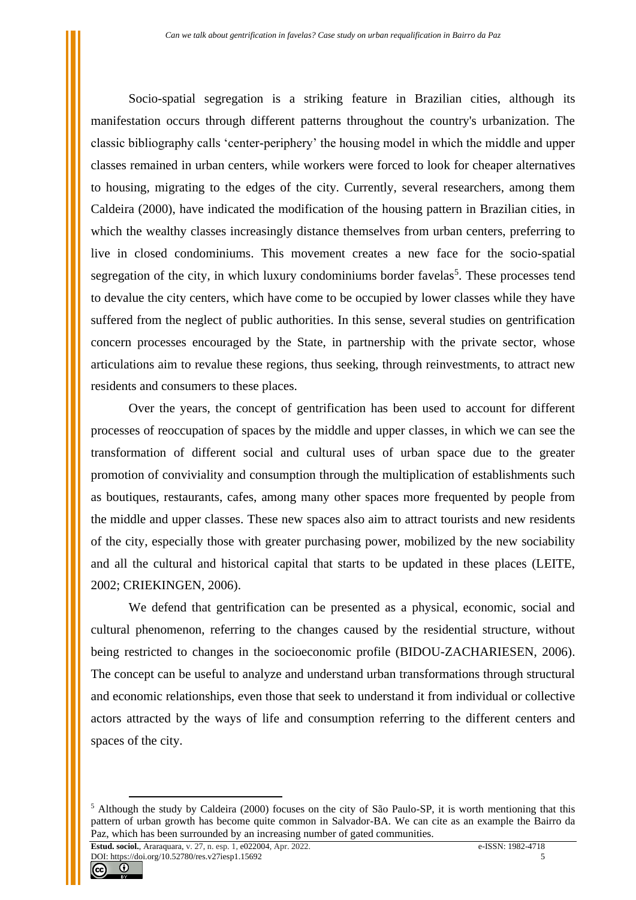Socio-spatial segregation is a striking feature in Brazilian cities, although its manifestation occurs through different patterns throughout the country's urbanization. The classic bibliography calls 'center-periphery' the housing model in which the middle and upper classes remained in urban centers, while workers were forced to look for cheaper alternatives to housing, migrating to the edges of the city. Currently, several researchers, among them Caldeira (2000), have indicated the modification of the housing pattern in Brazilian cities, in which the wealthy classes increasingly distance themselves from urban centers, preferring to live in closed condominiums. This movement creates a new face for the socio-spatial segregation of the city, in which luxury condominiums border favelas<sup>5</sup>. These processes tend to devalue the city centers, which have come to be occupied by lower classes while they have suffered from the neglect of public authorities. In this sense, several studies on gentrification concern processes encouraged by the State, in partnership with the private sector, whose articulations aim to revalue these regions, thus seeking, through reinvestments, to attract new residents and consumers to these places.

Over the years, the concept of gentrification has been used to account for different processes of reoccupation of spaces by the middle and upper classes, in which we can see the transformation of different social and cultural uses of urban space due to the greater promotion of conviviality and consumption through the multiplication of establishments such as boutiques, restaurants, cafes, among many other spaces more frequented by people from the middle and upper classes. These new spaces also aim to attract tourists and new residents of the city, especially those with greater purchasing power, mobilized by the new sociability and all the cultural and historical capital that starts to be updated in these places (LEITE, 2002; CRIEKINGEN, 2006).

We defend that gentrification can be presented as a physical, economic, social and cultural phenomenon, referring to the changes caused by the residential structure, without being restricted to changes in the socioeconomic profile (BIDOU-ZACHARIESEN, 2006). The concept can be useful to analyze and understand urban transformations through structural and economic relationships, even those that seek to understand it from individual or collective actors attracted by the ways of life and consumption referring to the different centers and spaces of the city.



<sup>&</sup>lt;sup>5</sup> Although the study by Caldeira (2000) focuses on the city of São Paulo-SP, it is worth mentioning that this pattern of urban growth has become quite common in Salvador-BA. We can cite as an example the Bairro da Paz, which has been surrounded by an increasing number of gated communities.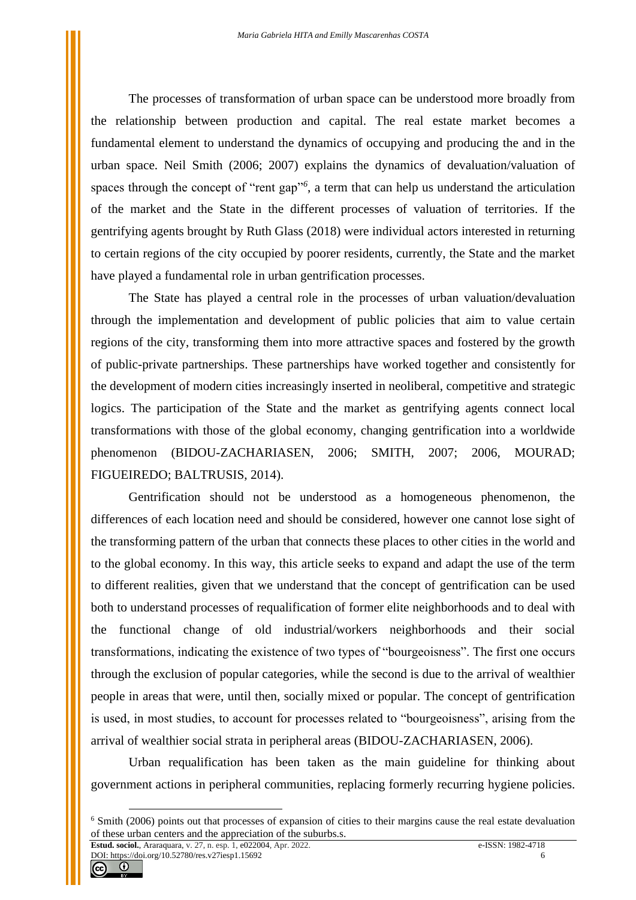The processes of transformation of urban space can be understood more broadly from the relationship between production and capital. The real estate market becomes a fundamental element to understand the dynamics of occupying and producing the and in the urban space. Neil Smith (2006; 2007) explains the dynamics of devaluation/valuation of spaces through the concept of "rent gap"<sup>6</sup>, a term that can help us understand the articulation of the market and the State in the different processes of valuation of territories. If the gentrifying agents brought by Ruth Glass (2018) were individual actors interested in returning to certain regions of the city occupied by poorer residents, currently, the State and the market have played a fundamental role in urban gentrification processes.

The State has played a central role in the processes of urban valuation/devaluation through the implementation and development of public policies that aim to value certain regions of the city, transforming them into more attractive spaces and fostered by the growth of public-private partnerships. These partnerships have worked together and consistently for the development of modern cities increasingly inserted in neoliberal, competitive and strategic logics. The participation of the State and the market as gentrifying agents connect local transformations with those of the global economy, changing gentrification into a worldwide phenomenon (BIDOU-ZACHARIASEN, 2006; SMITH, 2007; 2006, MOURAD; FIGUEIREDO; BALTRUSIS, 2014).

Gentrification should not be understood as a homogeneous phenomenon, the differences of each location need and should be considered, however one cannot lose sight of the transforming pattern of the urban that connects these places to other cities in the world and to the global economy. In this way, this article seeks to expand and adapt the use of the term to different realities, given that we understand that the concept of gentrification can be used both to understand processes of requalification of former elite neighborhoods and to deal with the functional change of old industrial/workers neighborhoods and their social transformations, indicating the existence of two types of "bourgeoisness". The first one occurs through the exclusion of popular categories, while the second is due to the arrival of wealthier people in areas that were, until then, socially mixed or popular. The concept of gentrification is used, in most studies, to account for processes related to "bourgeoisness", arising from the arrival of wealthier social strata in peripheral areas (BIDOU-ZACHARIASEN, 2006).

Urban requalification has been taken as the main guideline for thinking about government actions in peripheral communities, replacing formerly recurring hygiene policies.



<sup>&</sup>lt;sup>6</sup> Smith (2006) points out that processes of expansion of cities to their margins cause the real estate devaluation of these urban centers and the appreciation of the suburbs.s.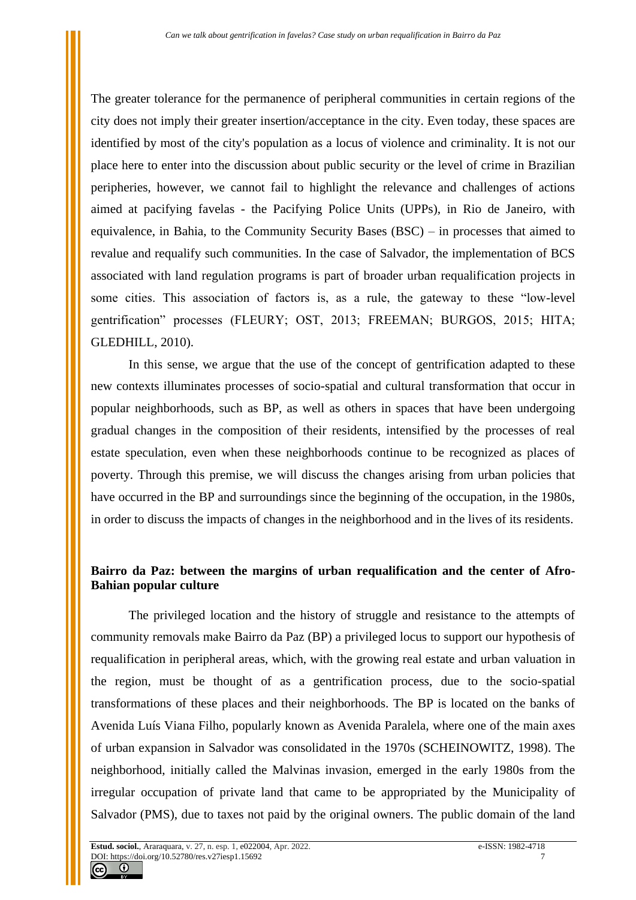The greater tolerance for the permanence of peripheral communities in certain regions of the city does not imply their greater insertion/acceptance in the city. Even today, these spaces are identified by most of the city's population as a locus of violence and criminality. It is not our place here to enter into the discussion about public security or the level of crime in Brazilian peripheries, however, we cannot fail to highlight the relevance and challenges of actions aimed at pacifying favelas - the Pacifying Police Units (UPPs), in Rio de Janeiro, with equivalence, in Bahia, to the Community Security Bases (BSC) – in processes that aimed to revalue and requalify such communities. In the case of Salvador, the implementation of BCS associated with land regulation programs is part of broader urban requalification projects in some cities. This association of factors is, as a rule, the gateway to these "low-level gentrification" processes (FLEURY; OST, 2013; FREEMAN; BURGOS, 2015; HITA; GLEDHILL, 2010).

In this sense, we argue that the use of the concept of gentrification adapted to these new contexts illuminates processes of socio-spatial and cultural transformation that occur in popular neighborhoods, such as BP, as well as others in spaces that have been undergoing gradual changes in the composition of their residents, intensified by the processes of real estate speculation, even when these neighborhoods continue to be recognized as places of poverty. Through this premise, we will discuss the changes arising from urban policies that have occurred in the BP and surroundings since the beginning of the occupation, in the 1980s, in order to discuss the impacts of changes in the neighborhood and in the lives of its residents.

# **Bairro da Paz: between the margins of urban requalification and the center of Afro-Bahian popular culture**

The privileged location and the history of struggle and resistance to the attempts of community removals make Bairro da Paz (BP) a privileged locus to support our hypothesis of requalification in peripheral areas, which, with the growing real estate and urban valuation in the region, must be thought of as a gentrification process, due to the socio-spatial transformations of these places and their neighborhoods. The BP is located on the banks of Avenida Luís Viana Filho, popularly known as Avenida Paralela, where one of the main axes of urban expansion in Salvador was consolidated in the 1970s (SCHEINOWITZ, 1998). The neighborhood, initially called the Malvinas invasion, emerged in the early 1980s from the irregular occupation of private land that came to be appropriated by the Municipality of Salvador (PMS), due to taxes not paid by the original owners. The public domain of the land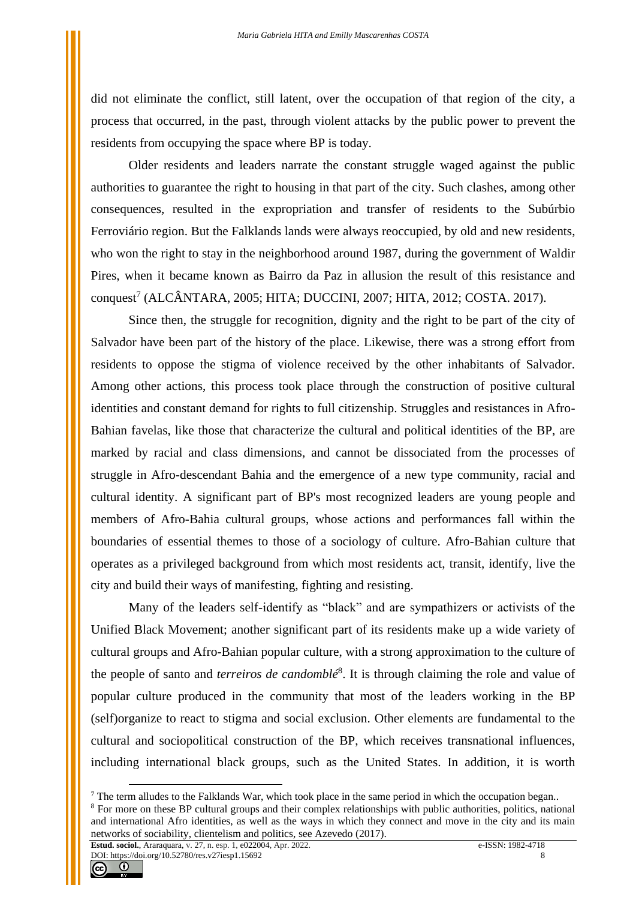did not eliminate the conflict, still latent, over the occupation of that region of the city, a process that occurred, in the past, through violent attacks by the public power to prevent the residents from occupying the space where BP is today.

Older residents and leaders narrate the constant struggle waged against the public authorities to guarantee the right to housing in that part of the city. Such clashes, among other consequences, resulted in the expropriation and transfer of residents to the Subúrbio Ferroviário region. But the Falklands lands were always reoccupied, by old and new residents, who won the right to stay in the neighborhood around 1987, during the government of Waldir Pires, when it became known as Bairro da Paz in allusion the result of this resistance and conquest<sup>7</sup> (ALCÂNTARA, 2005; HITA; DUCCINI, 2007; HITA, 2012; COSTA. 2017).

Since then, the struggle for recognition, dignity and the right to be part of the city of Salvador have been part of the history of the place. Likewise, there was a strong effort from residents to oppose the stigma of violence received by the other inhabitants of Salvador. Among other actions, this process took place through the construction of positive cultural identities and constant demand for rights to full citizenship. Struggles and resistances in Afro-Bahian favelas, like those that characterize the cultural and political identities of the BP, are marked by racial and class dimensions, and cannot be dissociated from the processes of struggle in Afro-descendant Bahia and the emergence of a new type community, racial and cultural identity. A significant part of BP's most recognized leaders are young people and members of Afro-Bahia cultural groups, whose actions and performances fall within the boundaries of essential themes to those of a sociology of culture. Afro-Bahian culture that operates as a privileged background from which most residents act, transit, identify, live the city and build their ways of manifesting, fighting and resisting.

Many of the leaders self-identify as "black" and are sympathizers or activists of the Unified Black Movement; another significant part of its residents make up a wide variety of cultural groups and Afro-Bahian popular culture, with a strong approximation to the culture of the people of santo and *terreiros de candomblé*<sup>8</sup> . It is through claiming the role and value of popular culture produced in the community that most of the leaders working in the BP (self)organize to react to stigma and social exclusion. Other elements are fundamental to the cultural and sociopolitical construction of the BP, which receives transnational influences, including international black groups, such as the United States. In addition, it is worth

<sup>&</sup>lt;sup>7</sup> The term alludes to the Falklands War, which took place in the same period in which the occupation began..

<sup>&</sup>lt;sup>8</sup> For more on these BP cultural groups and their complex relationships with public authorities, politics, national and international Afro identities, as well as the ways in which they connect and move in the city and its main networks of sociability, clientelism and politics, see Azevedo (2017).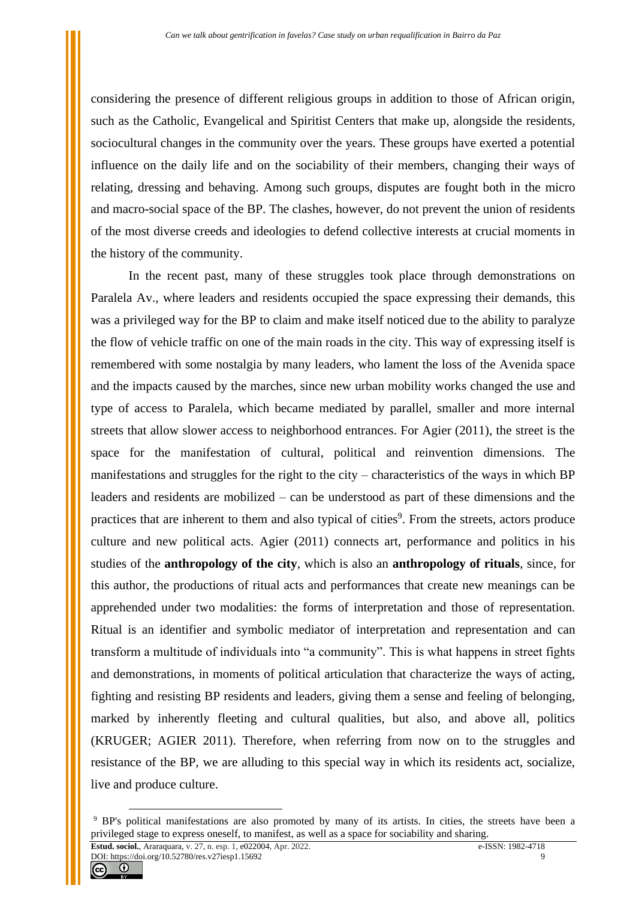considering the presence of different religious groups in addition to those of African origin, such as the Catholic, Evangelical and Spiritist Centers that make up, alongside the residents, sociocultural changes in the community over the years. These groups have exerted a potential influence on the daily life and on the sociability of their members, changing their ways of relating, dressing and behaving. Among such groups, disputes are fought both in the micro and macro-social space of the BP. The clashes, however, do not prevent the union of residents of the most diverse creeds and ideologies to defend collective interests at crucial moments in the history of the community.

In the recent past, many of these struggles took place through demonstrations on Paralela Av., where leaders and residents occupied the space expressing their demands, this was a privileged way for the BP to claim and make itself noticed due to the ability to paralyze the flow of vehicle traffic on one of the main roads in the city. This way of expressing itself is remembered with some nostalgia by many leaders, who lament the loss of the Avenida space and the impacts caused by the marches, since new urban mobility works changed the use and type of access to Paralela, which became mediated by parallel, smaller and more internal streets that allow slower access to neighborhood entrances. For Agier (2011), the street is the space for the manifestation of cultural, political and reinvention dimensions. The manifestations and struggles for the right to the city – characteristics of the ways in which BP leaders and residents are mobilized – can be understood as part of these dimensions and the practices that are inherent to them and also typical of cities<sup>9</sup>. From the streets, actors produce culture and new political acts. Agier (2011) connects art, performance and politics in his studies of the **anthropology of the city**, which is also an **anthropology of rituals**, since, for this author, the productions of ritual acts and performances that create new meanings can be apprehended under two modalities: the forms of interpretation and those of representation. Ritual is an identifier and symbolic mediator of interpretation and representation and can transform a multitude of individuals into "a community". This is what happens in street fights and demonstrations, in moments of political articulation that characterize the ways of acting, fighting and resisting BP residents and leaders, giving them a sense and feeling of belonging, marked by inherently fleeting and cultural qualities, but also, and above all, politics (KRUGER; AGIER 2011). Therefore, when referring from now on to the struggles and resistance of the BP, we are alluding to this special way in which its residents act, socialize, live and produce culture.



<sup>9</sup> BP's political manifestations are also promoted by many of its artists. In cities, the streets have been a privileged stage to express oneself, to manifest, as well as a space for sociability and sharing.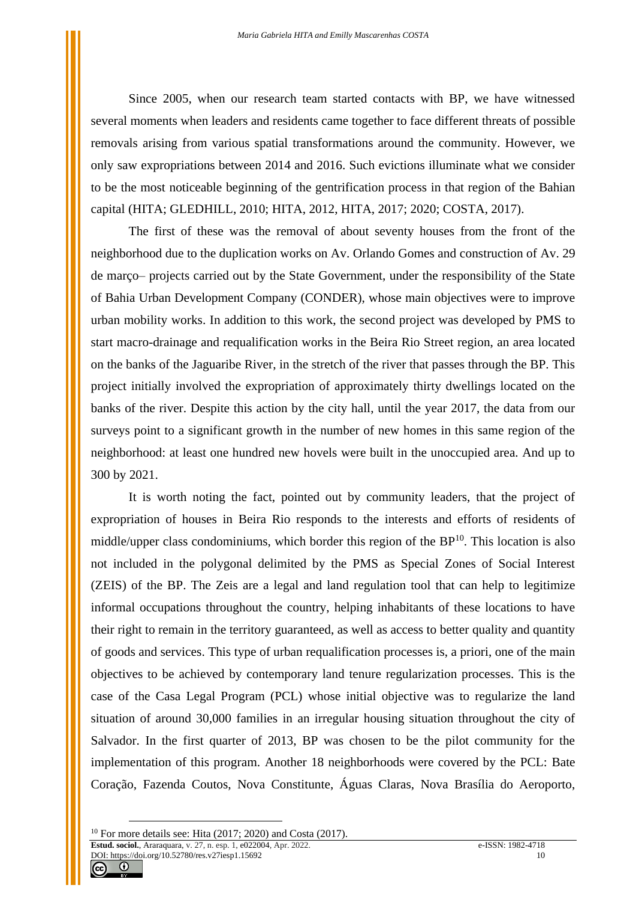Since 2005, when our research team started contacts with BP, we have witnessed several moments when leaders and residents came together to face different threats of possible removals arising from various spatial transformations around the community. However, we only saw expropriations between 2014 and 2016. Such evictions illuminate what we consider to be the most noticeable beginning of the gentrification process in that region of the Bahian capital (HITA; GLEDHILL, 2010; HITA, 2012, HITA, 2017; 2020; COSTA, 2017).

The first of these was the removal of about seventy houses from the front of the neighborhood due to the duplication works on Av. Orlando Gomes and construction of Av. 29 de março– projects carried out by the State Government, under the responsibility of the State of Bahia Urban Development Company (CONDER), whose main objectives were to improve urban mobility works. In addition to this work, the second project was developed by PMS to start macro-drainage and requalification works in the Beira Rio Street region, an area located on the banks of the Jaguaribe River, in the stretch of the river that passes through the BP. This project initially involved the expropriation of approximately thirty dwellings located on the banks of the river. Despite this action by the city hall, until the year 2017, the data from our surveys point to a significant growth in the number of new homes in this same region of the neighborhood: at least one hundred new hovels were built in the unoccupied area. And up to 300 by 2021.

It is worth noting the fact, pointed out by community leaders, that the project of expropriation of houses in Beira Rio responds to the interests and efforts of residents of middle/upper class condominiums, which border this region of the  $BP<sup>10</sup>$ . This location is also not included in the polygonal delimited by the PMS as Special Zones of Social Interest (ZEIS) of the BP. The Zeis are a legal and land regulation tool that can help to legitimize informal occupations throughout the country, helping inhabitants of these locations to have their right to remain in the territory guaranteed, as well as access to better quality and quantity of goods and services. This type of urban requalification processes is, a priori, one of the main objectives to be achieved by contemporary land tenure regularization processes. This is the case of the Casa Legal Program (PCL) whose initial objective was to regularize the land situation of around 30,000 families in an irregular housing situation throughout the city of Salvador. In the first quarter of 2013, BP was chosen to be the pilot community for the implementation of this program. Another 18 neighborhoods were covered by the PCL: Bate Coração, Fazenda Coutos, Nova Constitunte, Águas Claras, Nova Brasília do Aeroporto,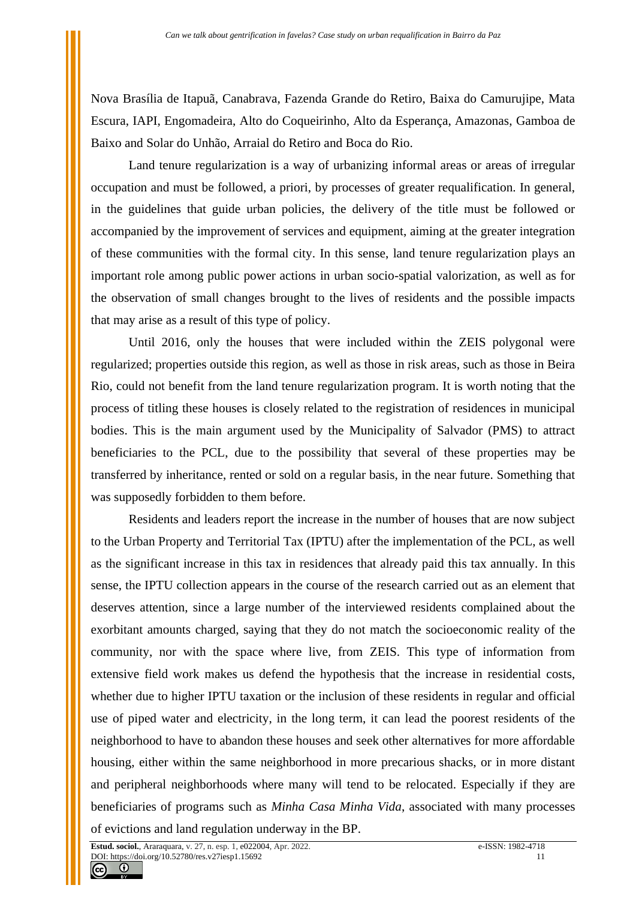Nova Brasília de Itapuã, Canabrava, Fazenda Grande do Retiro, Baixa do Camurujipe, Mata Escura, IAPI, Engomadeira, Alto do Coqueirinho, Alto da Esperança, Amazonas, Gamboa de Baixo and Solar do Unhão, Arraial do Retiro and Boca do Rio.

Land tenure regularization is a way of urbanizing informal areas or areas of irregular occupation and must be followed, a priori, by processes of greater requalification. In general, in the guidelines that guide urban policies, the delivery of the title must be followed or accompanied by the improvement of services and equipment, aiming at the greater integration of these communities with the formal city. In this sense, land tenure regularization plays an important role among public power actions in urban socio-spatial valorization, as well as for the observation of small changes brought to the lives of residents and the possible impacts that may arise as a result of this type of policy.

Until 2016, only the houses that were included within the ZEIS polygonal were regularized; properties outside this region, as well as those in risk areas, such as those in Beira Rio, could not benefit from the land tenure regularization program. It is worth noting that the process of titling these houses is closely related to the registration of residences in municipal bodies. This is the main argument used by the Municipality of Salvador (PMS) to attract beneficiaries to the PCL, due to the possibility that several of these properties may be transferred by inheritance, rented or sold on a regular basis, in the near future. Something that was supposedly forbidden to them before.

Residents and leaders report the increase in the number of houses that are now subject to the Urban Property and Territorial Tax (IPTU) after the implementation of the PCL, as well as the significant increase in this tax in residences that already paid this tax annually. In this sense, the IPTU collection appears in the course of the research carried out as an element that deserves attention, since a large number of the interviewed residents complained about the exorbitant amounts charged, saying that they do not match the socioeconomic reality of the community, nor with the space where live, from ZEIS. This type of information from extensive field work makes us defend the hypothesis that the increase in residential costs, whether due to higher IPTU taxation or the inclusion of these residents in regular and official use of piped water and electricity, in the long term, it can lead the poorest residents of the neighborhood to have to abandon these houses and seek other alternatives for more affordable housing, either within the same neighborhood in more precarious shacks, or in more distant and peripheral neighborhoods where many will tend to be relocated. Especially if they are beneficiaries of programs such as *Minha Casa Minha Vida*, associated with many processes of evictions and land regulation underway in the BP.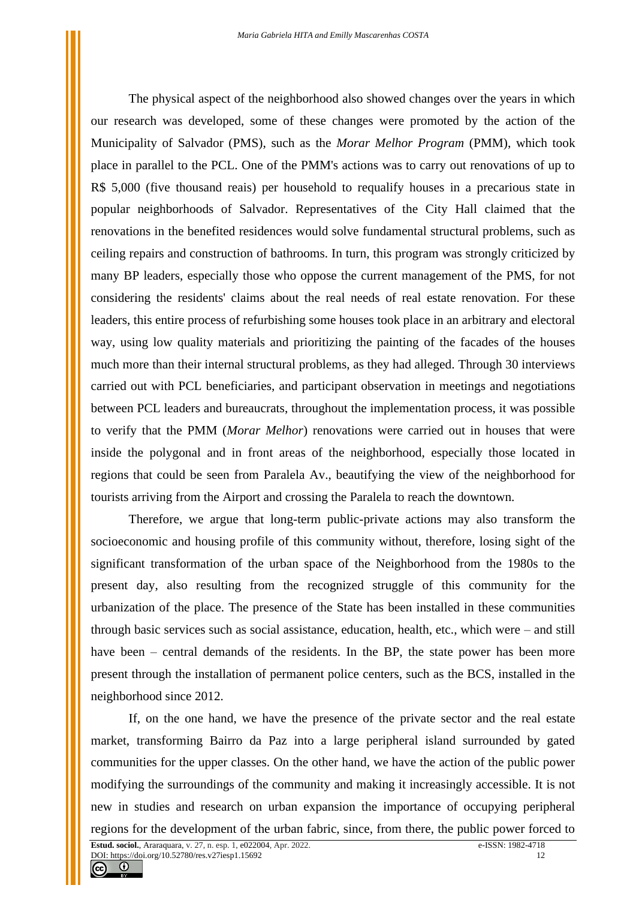The physical aspect of the neighborhood also showed changes over the years in which our research was developed, some of these changes were promoted by the action of the Municipality of Salvador (PMS), such as the *Morar Melhor Program* (PMM), which took place in parallel to the PCL. One of the PMM's actions was to carry out renovations of up to R\$ 5,000 (five thousand reais) per household to requalify houses in a precarious state in popular neighborhoods of Salvador. Representatives of the City Hall claimed that the renovations in the benefited residences would solve fundamental structural problems, such as ceiling repairs and construction of bathrooms. In turn, this program was strongly criticized by many BP leaders, especially those who oppose the current management of the PMS, for not considering the residents' claims about the real needs of real estate renovation. For these leaders, this entire process of refurbishing some houses took place in an arbitrary and electoral way, using low quality materials and prioritizing the painting of the facades of the houses much more than their internal structural problems, as they had alleged. Through 30 interviews carried out with PCL beneficiaries, and participant observation in meetings and negotiations between PCL leaders and bureaucrats, throughout the implementation process, it was possible to verify that the PMM (*Morar Melhor*) renovations were carried out in houses that were inside the polygonal and in front areas of the neighborhood, especially those located in regions that could be seen from Paralela Av., beautifying the view of the neighborhood for tourists arriving from the Airport and crossing the Paralela to reach the downtown.

Therefore, we argue that long-term public-private actions may also transform the socioeconomic and housing profile of this community without, therefore, losing sight of the significant transformation of the urban space of the Neighborhood from the 1980s to the present day, also resulting from the recognized struggle of this community for the urbanization of the place. The presence of the State has been installed in these communities through basic services such as social assistance, education, health, etc., which were – and still have been – central demands of the residents. In the BP, the state power has been more present through the installation of permanent police centers, such as the BCS, installed in the neighborhood since 2012.

If, on the one hand, we have the presence of the private sector and the real estate market, transforming Bairro da Paz into a large peripheral island surrounded by gated communities for the upper classes. On the other hand, we have the action of the public power modifying the surroundings of the community and making it increasingly accessible. It is not new in studies and research on urban expansion the importance of occupying peripheral regions for the development of the urban fabric, since, from there, the public power forced to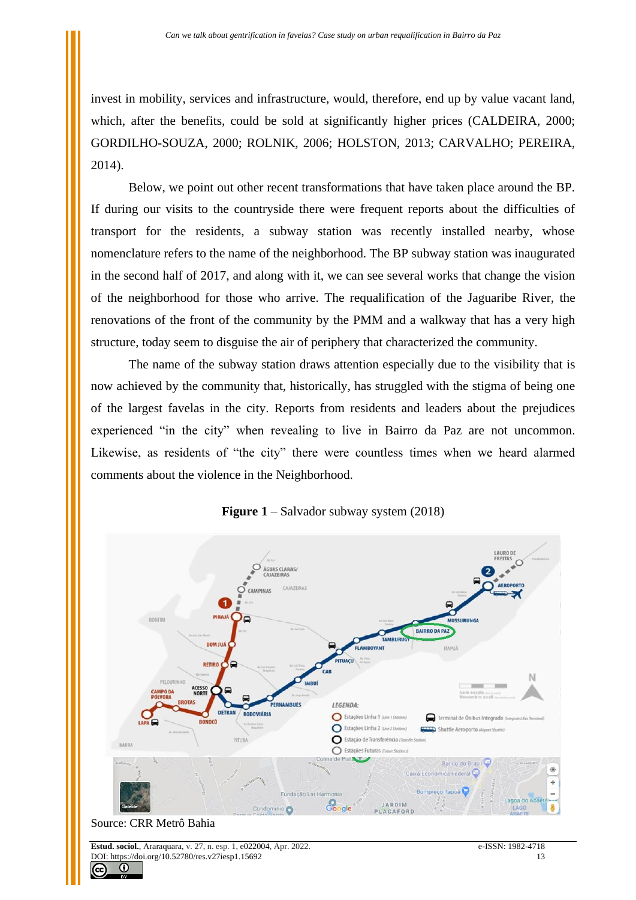invest in mobility, services and infrastructure, would, therefore, end up by value vacant land, which, after the benefits, could be sold at significantly higher prices (CALDEIRA, 2000; GORDILHO-SOUZA, 2000; ROLNIK, 2006; HOLSTON, 2013; CARVALHO; PEREIRA, 2014).

Below, we point out other recent transformations that have taken place around the BP. If during our visits to the countryside there were frequent reports about the difficulties of transport for the residents, a subway station was recently installed nearby, whose nomenclature refers to the name of the neighborhood. The BP subway station was inaugurated in the second half of 2017, and along with it, we can see several works that change the vision of the neighborhood for those who arrive. The requalification of the Jaguaribe River, the renovations of the front of the community by the PMM and a walkway that has a very high structure, today seem to disguise the air of periphery that characterized the community.

The name of the subway station draws attention especially due to the visibility that is now achieved by the community that, historically, has struggled with the stigma of being one of the largest favelas in the city. Reports from residents and leaders about the prejudices experienced "in the city" when revealing to live in Bairro da Paz are not uncommon. Likewise, as residents of "the city" there were countless times when we heard alarmed comments about the violence in the Neighborhood.



**Figure 1** – Salvador subway system (2018)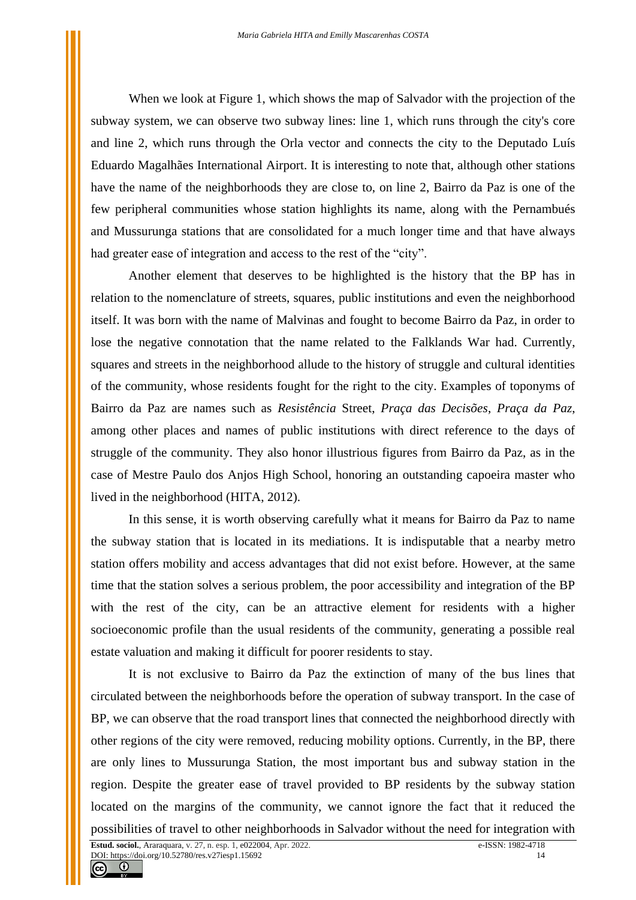When we look at Figure 1, which shows the map of Salvador with the projection of the subway system, we can observe two subway lines: line 1, which runs through the city's core and line 2, which runs through the Orla vector and connects the city to the Deputado Luís Eduardo Magalhães International Airport. It is interesting to note that, although other stations have the name of the neighborhoods they are close to, on line 2, Bairro da Paz is one of the few peripheral communities whose station highlights its name, along with the Pernambués and Mussurunga stations that are consolidated for a much longer time and that have always had greater ease of integration and access to the rest of the "city".

Another element that deserves to be highlighted is the history that the BP has in relation to the nomenclature of streets, squares, public institutions and even the neighborhood itself. It was born with the name of Malvinas and fought to become Bairro da Paz, in order to lose the negative connotation that the name related to the Falklands War had. Currently, squares and streets in the neighborhood allude to the history of struggle and cultural identities of the community, whose residents fought for the right to the city. Examples of toponyms of Bairro da Paz are names such as *Resistência* Street, *Praça das Decisões*, *Praça da Paz*, among other places and names of public institutions with direct reference to the days of struggle of the community. They also honor illustrious figures from Bairro da Paz, as in the case of Mestre Paulo dos Anjos High School, honoring an outstanding capoeira master who lived in the neighborhood (HITA, 2012).

In this sense, it is worth observing carefully what it means for Bairro da Paz to name the subway station that is located in its mediations. It is indisputable that a nearby metro station offers mobility and access advantages that did not exist before. However, at the same time that the station solves a serious problem, the poor accessibility and integration of the BP with the rest of the city, can be an attractive element for residents with a higher socioeconomic profile than the usual residents of the community, generating a possible real estate valuation and making it difficult for poorer residents to stay.

It is not exclusive to Bairro da Paz the extinction of many of the bus lines that circulated between the neighborhoods before the operation of subway transport. In the case of BP, we can observe that the road transport lines that connected the neighborhood directly with other regions of the city were removed, reducing mobility options. Currently, in the BP, there are only lines to Mussurunga Station, the most important bus and subway station in the region. Despite the greater ease of travel provided to BP residents by the subway station located on the margins of the community, we cannot ignore the fact that it reduced the possibilities of travel to other neighborhoods in Salvador without the need for integration with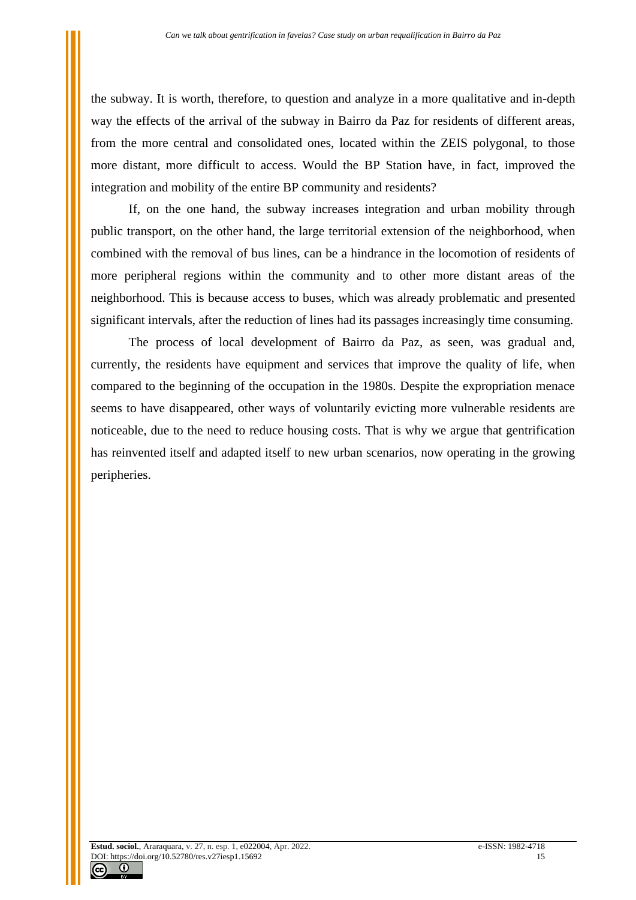the subway. It is worth, therefore, to question and analyze in a more qualitative and in-depth way the effects of the arrival of the subway in Bairro da Paz for residents of different areas, from the more central and consolidated ones, located within the ZEIS polygonal, to those more distant, more difficult to access. Would the BP Station have, in fact, improved the integration and mobility of the entire BP community and residents?

If, on the one hand, the subway increases integration and urban mobility through public transport, on the other hand, the large territorial extension of the neighborhood, when combined with the removal of bus lines, can be a hindrance in the locomotion of residents of more peripheral regions within the community and to other more distant areas of the neighborhood. This is because access to buses, which was already problematic and presented significant intervals, after the reduction of lines had its passages increasingly time consuming.

The process of local development of Bairro da Paz, as seen, was gradual and, currently, the residents have equipment and services that improve the quality of life, when compared to the beginning of the occupation in the 1980s. Despite the expropriation menace seems to have disappeared, other ways of voluntarily evicting more vulnerable residents are noticeable, due to the need to reduce housing costs. That is why we argue that gentrification has reinvented itself and adapted itself to new urban scenarios, now operating in the growing peripheries.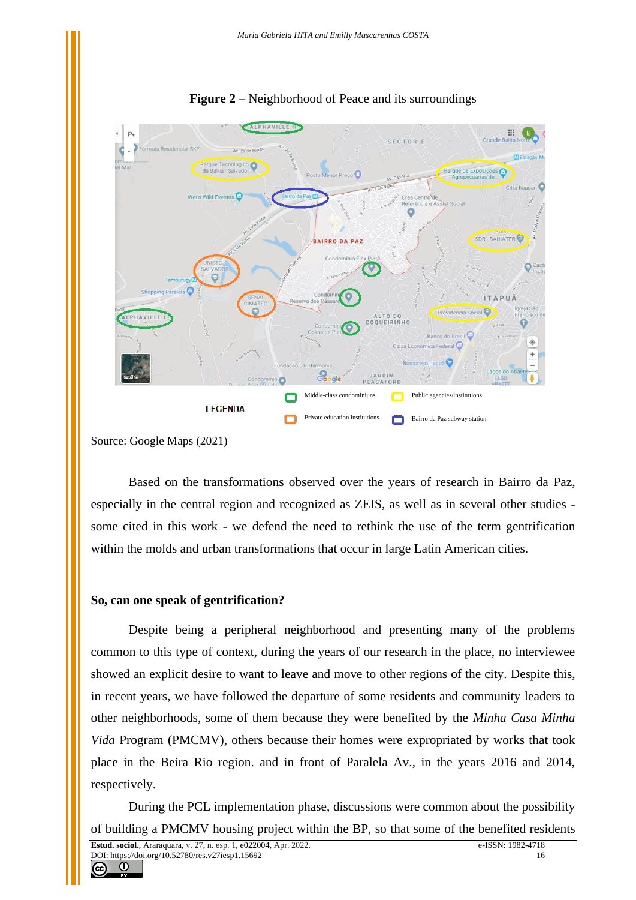

**Figure 2 –** Neighborhood of Peace and its surroundings

Based on the transformations observed over the years of research in Bairro da Paz, especially in the central region and recognized as ZEIS, as well as in several other studies some cited in this work - we defend the need to rethink the use of the term gentrification within the molds and urban transformations that occur in large Latin American cities.

## **So, can one speak of gentrification?**

Despite being a peripheral neighborhood and presenting many of the problems common to this type of context, during the years of our research in the place, no interviewee showed an explicit desire to want to leave and move to other regions of the city. Despite this, in recent years, we have followed the departure of some residents and community leaders to other neighborhoods, some of them because they were benefited by the *Minha Casa Minha Vida* Program (PMCMV), others because their homes were expropriated by works that took place in the Beira Rio region. and in front of Paralela Av., in the years 2016 and 2014, respectively.

During the PCL implementation phase, discussions were common about the possibility of building a PMCMV housing project within the BP, so that some of the benefited residents

Source: Google Maps (2021)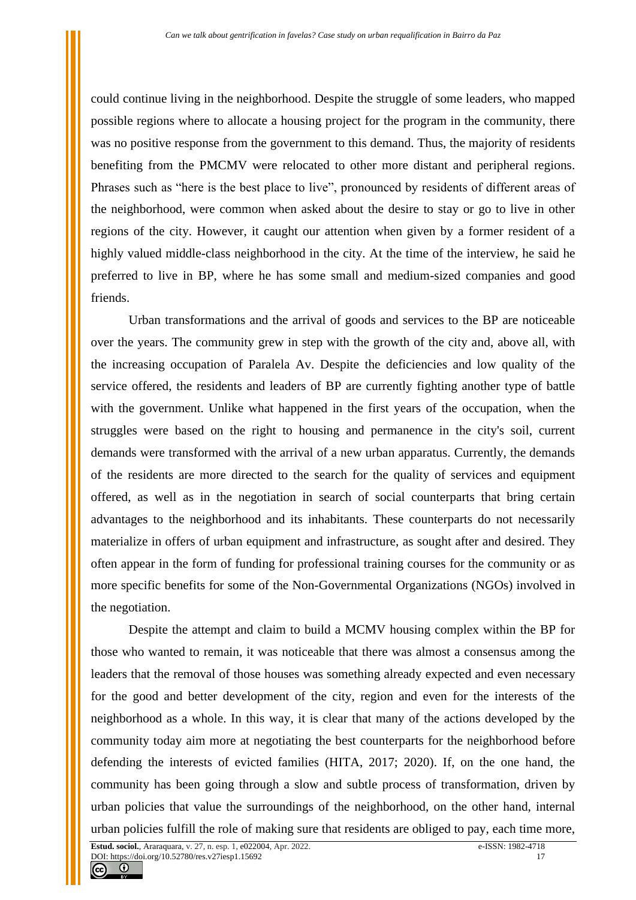could continue living in the neighborhood. Despite the struggle of some leaders, who mapped possible regions where to allocate a housing project for the program in the community, there was no positive response from the government to this demand. Thus, the majority of residents benefiting from the PMCMV were relocated to other more distant and peripheral regions. Phrases such as "here is the best place to live", pronounced by residents of different areas of the neighborhood, were common when asked about the desire to stay or go to live in other regions of the city. However, it caught our attention when given by a former resident of a highly valued middle-class neighborhood in the city. At the time of the interview, he said he preferred to live in BP, where he has some small and medium-sized companies and good friends.

Urban transformations and the arrival of goods and services to the BP are noticeable over the years. The community grew in step with the growth of the city and, above all, with the increasing occupation of Paralela Av. Despite the deficiencies and low quality of the service offered, the residents and leaders of BP are currently fighting another type of battle with the government. Unlike what happened in the first years of the occupation, when the struggles were based on the right to housing and permanence in the city's soil, current demands were transformed with the arrival of a new urban apparatus. Currently, the demands of the residents are more directed to the search for the quality of services and equipment offered, as well as in the negotiation in search of social counterparts that bring certain advantages to the neighborhood and its inhabitants. These counterparts do not necessarily materialize in offers of urban equipment and infrastructure, as sought after and desired. They often appear in the form of funding for professional training courses for the community or as more specific benefits for some of the Non-Governmental Organizations (NGOs) involved in the negotiation.

Despite the attempt and claim to build a MCMV housing complex within the BP for those who wanted to remain, it was noticeable that there was almost a consensus among the leaders that the removal of those houses was something already expected and even necessary for the good and better development of the city, region and even for the interests of the neighborhood as a whole. In this way, it is clear that many of the actions developed by the community today aim more at negotiating the best counterparts for the neighborhood before defending the interests of evicted families (HITA, 2017; 2020). If, on the one hand, the community has been going through a slow and subtle process of transformation, driven by urban policies that value the surroundings of the neighborhood, on the other hand, internal urban policies fulfill the role of making sure that residents are obliged to pay, each time more,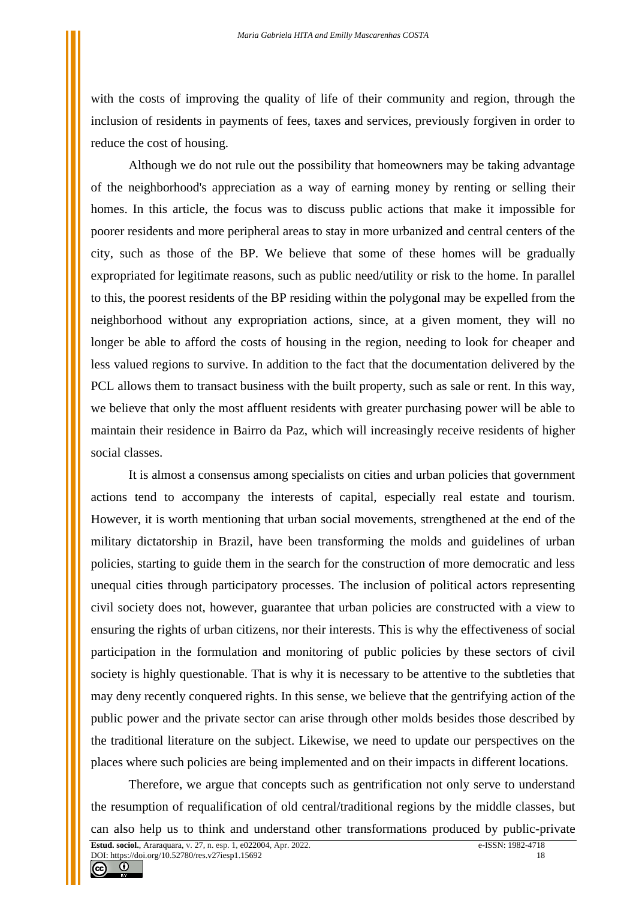with the costs of improving the quality of life of their community and region, through the inclusion of residents in payments of fees, taxes and services, previously forgiven in order to reduce the cost of housing.

Although we do not rule out the possibility that homeowners may be taking advantage of the neighborhood's appreciation as a way of earning money by renting or selling their homes. In this article, the focus was to discuss public actions that make it impossible for poorer residents and more peripheral areas to stay in more urbanized and central centers of the city, such as those of the BP. We believe that some of these homes will be gradually expropriated for legitimate reasons, such as public need/utility or risk to the home. In parallel to this, the poorest residents of the BP residing within the polygonal may be expelled from the neighborhood without any expropriation actions, since, at a given moment, they will no longer be able to afford the costs of housing in the region, needing to look for cheaper and less valued regions to survive. In addition to the fact that the documentation delivered by the PCL allows them to transact business with the built property, such as sale or rent. In this way, we believe that only the most affluent residents with greater purchasing power will be able to maintain their residence in Bairro da Paz, which will increasingly receive residents of higher social classes.

It is almost a consensus among specialists on cities and urban policies that government actions tend to accompany the interests of capital, especially real estate and tourism. However, it is worth mentioning that urban social movements, strengthened at the end of the military dictatorship in Brazil, have been transforming the molds and guidelines of urban policies, starting to guide them in the search for the construction of more democratic and less unequal cities through participatory processes. The inclusion of political actors representing civil society does not, however, guarantee that urban policies are constructed with a view to ensuring the rights of urban citizens, nor their interests. This is why the effectiveness of social participation in the formulation and monitoring of public policies by these sectors of civil society is highly questionable. That is why it is necessary to be attentive to the subtleties that may deny recently conquered rights. In this sense, we believe that the gentrifying action of the public power and the private sector can arise through other molds besides those described by the traditional literature on the subject. Likewise, we need to update our perspectives on the places where such policies are being implemented and on their impacts in different locations.

Therefore, we argue that concepts such as gentrification not only serve to understand the resumption of requalification of old central/traditional regions by the middle classes, but can also help us to think and understand other transformations produced by public-private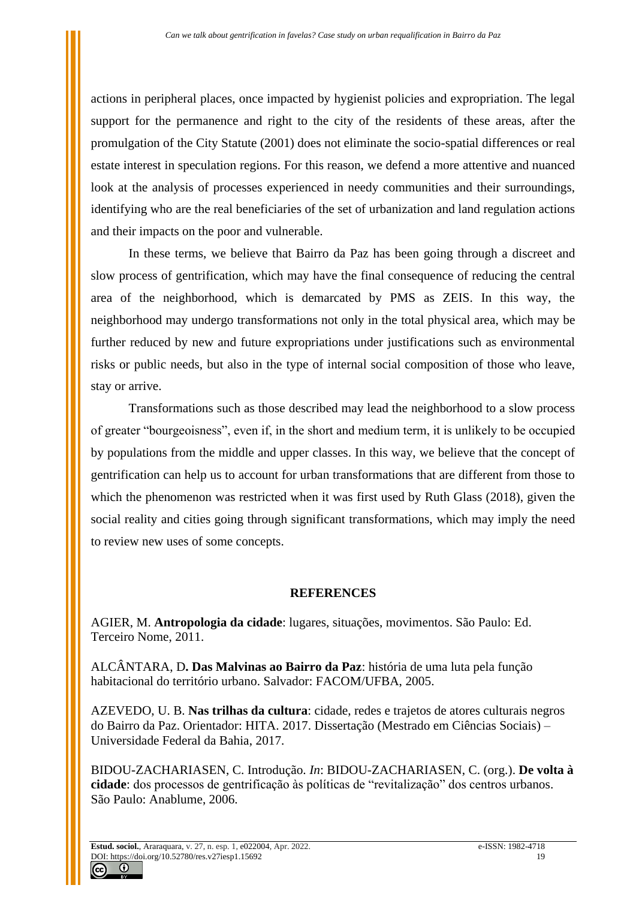actions in peripheral places, once impacted by hygienist policies and expropriation. The legal support for the permanence and right to the city of the residents of these areas, after the promulgation of the City Statute (2001) does not eliminate the socio-spatial differences or real estate interest in speculation regions. For this reason, we defend a more attentive and nuanced look at the analysis of processes experienced in needy communities and their surroundings, identifying who are the real beneficiaries of the set of urbanization and land regulation actions and their impacts on the poor and vulnerable.

In these terms, we believe that Bairro da Paz has been going through a discreet and slow process of gentrification, which may have the final consequence of reducing the central area of the neighborhood, which is demarcated by PMS as ZEIS. In this way, the neighborhood may undergo transformations not only in the total physical area, which may be further reduced by new and future expropriations under justifications such as environmental risks or public needs, but also in the type of internal social composition of those who leave, stay or arrive.

Transformations such as those described may lead the neighborhood to a slow process of greater "bourgeoisness", even if, in the short and medium term, it is unlikely to be occupied by populations from the middle and upper classes. In this way, we believe that the concept of gentrification can help us to account for urban transformations that are different from those to which the phenomenon was restricted when it was first used by Ruth Glass (2018), given the social reality and cities going through significant transformations, which may imply the need to review new uses of some concepts.

## **REFERENCES**

AGIER, M. **Antropologia da cidade**: lugares, situações, movimentos. São Paulo: Ed. Terceiro Nome, 2011.

ALCÂNTARA, D**. Das Malvinas ao Bairro da Paz**: história de uma luta pela função habitacional do território urbano. Salvador: FACOM/UFBA, 2005.

AZEVEDO, U. B. **Nas trilhas da cultura**: cidade, redes e trajetos de atores culturais negros do Bairro da Paz. Orientador: HITA. 2017. Dissertação (Mestrado em Ciências Sociais) – Universidade Federal da Bahia, 2017.

BIDOU-ZACHARIASEN, C. Introdução. *In*: BIDOU-ZACHARIASEN, C. (org.). **De volta à cidade**: dos processos de gentrificação às políticas de "revitalização" dos centros urbanos. São Paulo: Anablume, 2006.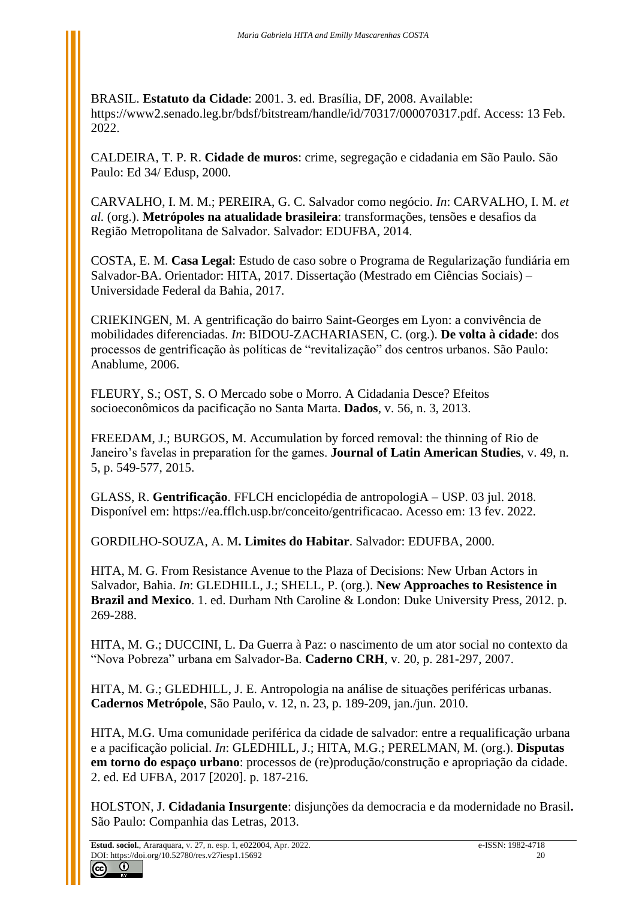BRASIL. **Estatuto da Cidade**: 2001. 3. ed. Brasília, DF, 2008. Available: [https://www2.senado.leg.br/bdsf/bitstream/handle/id/70317/000070317.pdf.](https://www2.senado.leg.br/bdsf/bitstream/handle/id/70317/000070317.pdf) Access: 13 Feb. 2022.

CALDEIRA, T. P. R. **Cidade de muros**: crime, segregação e cidadania em São Paulo. São Paulo: Ed 34/ Edusp, 2000.

CARVALHO, I. M. M.; PEREIRA, G. C. Salvador como negócio. *In*: CARVALHO, I. M. *et al.* (org.). **Metrópoles na atualidade brasileira**: transformações, tensões e desafios da Região Metropolitana de Salvador. Salvador: EDUFBA, 2014.

COSTA, E. M. **Casa Legal**: Estudo de caso sobre o Programa de Regularização fundiária em Salvador-BA. Orientador: HITA, 2017. Dissertação (Mestrado em Ciências Sociais) – Universidade Federal da Bahia, 2017.

CRIEKINGEN, M. A gentrificação do bairro Saint-Georges em Lyon: a convivência de mobilidades diferenciadas. *In*: BIDOU-ZACHARIASEN, C. (org.). **De volta à cidade**: dos processos de gentrificação às políticas de "revitalização" dos centros urbanos. São Paulo: Anablume, 2006.

FLEURY, S.; OST, S. O Mercado sobe o Morro. A Cidadania Desce? Efeitos socioeconômicos da pacificação no Santa Marta. **Dados**, v. 56, n. 3, 2013.

FREEDAM, J.; BURGOS, M. Accumulation by forced removal: the thinning of Rio de Janeiro's favelas in preparation for the games. **Journal of Latin American Studies**, v. 49, n. 5, p. 549-577, 2015.

GLASS, R. **Gentrificação**. FFLCH enciclopédia [de antropologiA](https://ea.fflch.usp.br/) – USP. 03 jul. 2018. Disponível em: [https://ea.fflch.usp.br/conceito/gentrificacao.](https://ea.fflch.usp.br/conceito/gentrificacao) Acesso em: 13 fev. 2022.

GORDILHO-SOUZA, A. M**. Limites do Habitar**. Salvador: EDUFBA, 2000.

HITA, M. G. From Resistance Avenue to the Plaza of Decisions: New Urban Actors in Salvador, Bahia. *In*: GLEDHILL, J.; SHELL, P. (org.). **New Approaches to Resistence in Brazil and Mexico**. 1. ed. Durham Nth Caroline & London: Duke University Press, 2012. p. 269-288.

HITA, M. G.; DUCCINI, L. Da Guerra à Paz: o nascimento de um ator social no contexto da "Nova Pobreza" urbana em Salvador-Ba. **Caderno CRH**, v. 20, p. 281-297, 2007.

HITA, M. G.; GLEDHILL, J. E. Antropologia na análise de situações periféricas urbanas. **Cadernos Metrópole**, São Paulo, v. 12, n. 23, p. 189-209, jan./jun. 2010.

HITA, M.G. Uma comunidade periférica da cidade de salvador: entre a requalificação urbana e a pacificação policial. *In*: GLEDHILL, J.; HITA, M.G.; PERELMAN, M. (org.). **Disputas em torno do espaço urbano**: processos de (re)produção/construção e apropriação da cidade. 2. ed. Ed UFBA, 2017 [2020]. p. 187-216.

HOLSTON, J. **Cidadania Insurgente**: disjunções da democracia e da modernidade no Brasil**.** São Paulo: Companhia das Letras, 2013.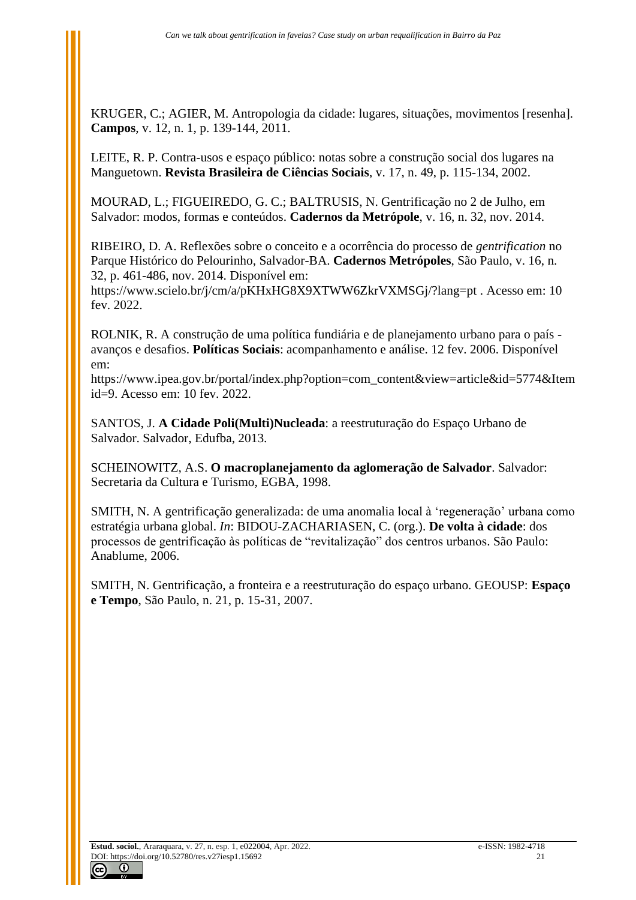KRUGER, C.; AGIER, M. Antropologia da cidade: lugares, situações, movimentos [resenha]. **Campos**, v. 12, n. 1, p. 139-144, 2011.

LEITE, R. P. Contra-usos e espaço público: notas sobre a construção social dos lugares na Manguetown. **Revista Brasileira de Ciências Sociais**, v. 17, n. 49, p. 115-134, 2002.

MOURAD, L.; FIGUEIREDO, G. C.; BALTRUSIS, N. Gentrificação no 2 de Julho, em Salvador: modos, formas e conteúdos. **Cadernos da Metrópole**, v. 16, n. 32, nov. 2014.

RIBEIRO, D. A. Reflexões sobre o conceito e a ocorrência do processo de *gentrification* no Parque Histórico do Pelourinho, Salvador-BA. **Cadernos Metrópoles**, São Paulo, v. 16, n. 32, p. 461-486, nov. 2014. Disponível em:

https://www.scielo.br/j/cm/a/pKHxHG8X9XTWW6ZkrVXMSGj/?lang=pt . Acesso em: 10 fev. 2022.

ROLNIK, R. A construção de uma política fundiária e de planejamento urbano para o país avanços e desafios. **Políticas Sociais**: acompanhamento e análise. 12 fev. 2006. Disponível em:

[https://www.ipea.gov.br/portal/index.php?option=com\\_content&view=article&id=5774&Item](https://www.ipea.gov.br/portal/index.php?option=com_content&view=article&id=5774&Itemid=9) [id=9.](https://www.ipea.gov.br/portal/index.php?option=com_content&view=article&id=5774&Itemid=9) Acesso em: 10 fev. 2022.

SANTOS, J. **A Cidade Poli(Multi)Nucleada**: a reestruturação do Espaço Urbano de Salvador. Salvador, Edufba, 2013.

SCHEINOWITZ, A.S. **O macroplanejamento da aglomeração de Salvador**. Salvador: Secretaria da Cultura e Turismo, EGBA, 1998.

SMITH, N. A gentrificação generalizada: de uma anomalia local à 'regeneração' urbana como estratégia urbana global. *In*: BIDOU-ZACHARIASEN, C. (org.). **De volta à cidade**: dos processos de gentrificação às políticas de "revitalização" dos centros urbanos. São Paulo: Anablume, 2006.

SMITH, N. Gentrificação, a fronteira e a reestruturação do espaço urbano. GEOUSP: **Espaço e Tempo**, São Paulo, n. 21, p. 15-31, 2007.